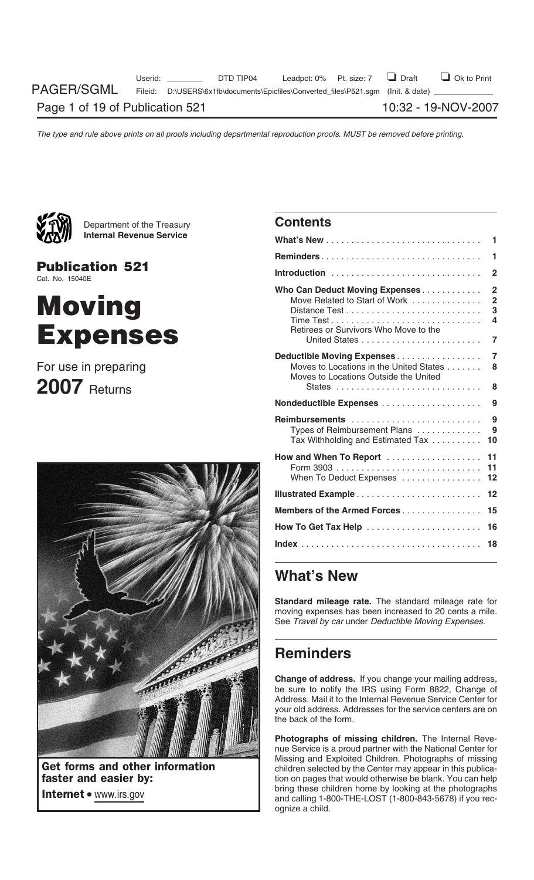

Department of the Treasury **Contents Internal Revenue Service** 

# **Publication 521** Cat. No. 15040E

# **Moving** Expenses

For use in preparing **2007 Returns** 



|                                                                                                                | 1                                                      |
|----------------------------------------------------------------------------------------------------------------|--------------------------------------------------------|
|                                                                                                                | 1                                                      |
|                                                                                                                | 2                                                      |
| Who Can Deduct Moving Expenses<br>Move Related to Start of Work<br>Retirees or Survivors Who Move to the       | $\mathbf{2}$<br>$\overline{\mathbf{2}}$<br>3<br>4<br>7 |
| Deductible Moving Expenses<br>Moves to Locations in the United States<br>Moves to Locations Outside the United | 7<br>8<br>8                                            |
| Nondeductible Expenses                                                                                         | 9                                                      |
| Reimbursements<br>Types of Reimbursement Plans<br>Tax Withholding and Estimated Tax                            | 9<br>9<br>10                                           |
| How and When To Report<br>When To Deduct Expenses                                                              | 11<br>11<br>12                                         |
|                                                                                                                | 12                                                     |
| Members of the Armed Forces                                                                                    | 15                                                     |
| How To Get Tax Help                                                                                            | 16                                                     |
|                                                                                                                | 18                                                     |

## **What's New**

**Standard mileage rate.** The standard mileage rate for moving expenses has been increased to 20 cents a mile. See *Travel by car* under *Deductible Moving Expenses*.

## **Reminders**

**Change of address.** If you change your mailing address, be sure to notify the IRS using Form 8822, Change of Address. Mail it to the Internal Revenue Service Center for your old address. Addresses for the service centers are on the back of the form.

**Photographs of missing children.** The Internal Revenue Service is a proud partner with the National Center for Missing and Exploited Children. Photographs of missing Get forms and other information<br>
faster and easier by:<br>
Faster and easier by:<br>
Indication on pages that would otherwise be blank. You can help tion on pages that would otherwise be blank. You can help Internet • www.irs.gov **and the photographs** bring these children home by looking at the photographs and calling 1-800-THE-LOST (1-800-843-5678) if you recognize a child.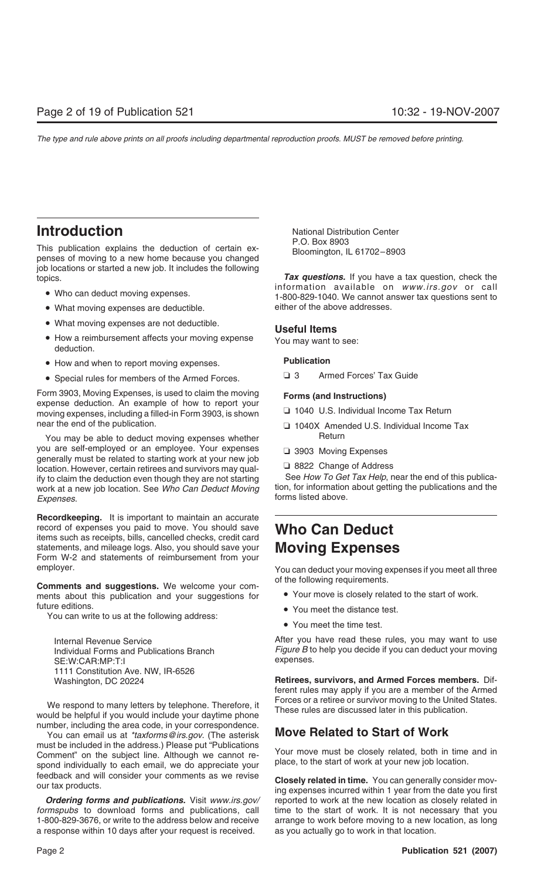This publication explains the deduction of certain ex-<br>penses of moving to a new home because you changed<br> $\frac{1.91 \times 1.91 \times 1.91 \times 1.91 \times 1.91 \times 1.91 \times 1.91 \times 1.91 \times 1.91 \times 1.91 \times 1.91 \times 1.91 \times 1.91 \times 1.91 \times 1.91 \times 1.91 \times$ job locations or started a new job. It includes the following

- 
- What moving expenses are deductible. either of the above addresses.
- 
- What moving expenses are not deductible. **Useful Items** How a reimbursement affects your moving expense You may want to see: deduction.
- How and when to report moving expenses. **Publication**
- Special rules for members of the Armed Forces. <br>■ 3 Armed Forces' Tax Guide

Form 3903, Moving Expenses, is used to claim the moving **Forms (and Instructions)**<br>
expense deduction. An example of how to report your **Forms (and Instructions)**<br> **Example 2010** 1040 U.S. Individual Income Tax Return moving expenses, including a filled-in Form 3903, is shown near the end of the publication. ❏ 1040X Amended U.S. Individual Income Tax

You may be able to deduct moving expenses whether Return you are self-employed or an employee. Your expenses  $□$  3903 Moving Expenses generally must be related to starting work at your new job location. However, certain retirees and survivors may qual-<br>if the distribution of t ify to claim the deduction even though they are not starting See *How To Get Tax Help*, near the end of this publica-<br>work at a new job location. See *Who Can Deduct Moving* tion, for information about getting the publicat work at a new job location. See Who Can Deduct Moving **Expenses.** The state of the state of the state of the state of the state of the state of the state of the state of the state of the state of the state of the state of the state of the state of the state of the state of th

**Recordkeeping.** It is important to maintain an accurate record of expenses you paid to move. You should save **Who Can Deduct** items such as receipts, bills, cancelled checks, credit card statements, and mileage logs. Also, you should save your **Moving Expenses** statements, and mileage logs. Also, you should save your Form W-2 and statements of reimbursement from your

**Comments and suggestions.** We welcome your com-<br>ments about this publication and your suggestions for <br>ments about this publication and your suggestions for <br>**Comments about this publication and your suggestions for** ments about this publication and your suggestions for future editions.  $\bullet$  You meet the distance test.

You can write to us at the following address:<br>• You meet the time test.

SE:W:CAR:MP:T:I 1111 Constitution Ave. NW, IR-6526

We respond to many letters by telephone. Therefore, it<br>would be helpful if you would include your daytime phone<br>would be helpful if you would include your daytime phone number, including the area code, in your correspondence.

You can email us at *\*taxforms@irs.gov*. (The asterisk **Move Related to Start of Work** Comment" on the subject line. Although we cannot re-<br>spond individually to each email, we do appreciate your<br>place, to the start of work at your new job location. feedback and will consider your comments as we revise<br>our tax products. **Closely related in time.** You can generally consider mov-<br>ing expenses incurred within 1 year from the date you first

*formspubs* to download forms and publications, call time to the start of work. It is not necessary that you 1-800-829-3676, or write to the address below and receive arrange to work before moving to a new location, as long a response within 10 days after your request is received. as you actually go to work in that location.

**Introduction**<br>P.O. Box 8903

topics.<br>*Tax questions.* If you have a tax question, check the information available on www.irs.gov or call information available on *www.irs.gov* or call • Who can deduct moving expenses. 1-800-829-1040. We cannot answer tax questions sent to

- 
- 
- 
- 

employer. You can deduct your moving expenses if you meet all three

- 
- 
- 

Internal Revenue Service **After you have read these rules, you may want to use** Individual Forms and Publications Branch *Figure B* to help you decide if you can deduct your moving

Washington, DC 20224 **Retirees, survivors, and Armed Forces members.** Different rules may apply if you are a member of the Armed Forces or a retiree or survivor moving to the United States.

*Ordering forms and publications.* Visit *www.irs.gov/* reported to work at the new location as closely related in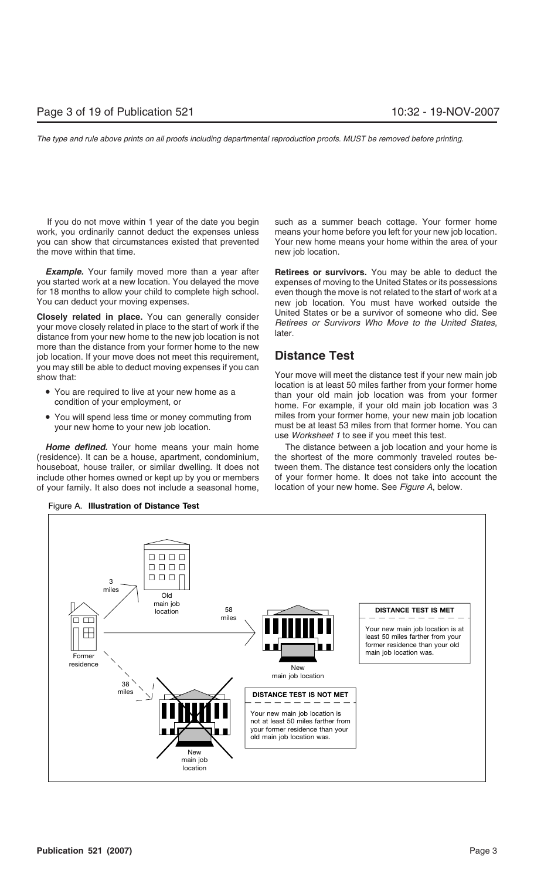work, you ordinarily cannot deduct the expenses unless means your home before you left for your new job location. you can show that circumstances existed that prevented Your new home means your home within the area of your the move within that time. The move within that time.

you started work at a new location. You delayed the move expenses of moving to the United States or its possessions

**Closely related in place.** You can generally consider<br>your move closely related in place to the start of work if the<br>distance from your new home to the new job location is not<br>distance from your new home to the new job lo more than the distance from your former home to the new job location. If your move does not meet this requirement, **Distance Test** you may still be able to deduct moving expenses if you can

- 
- 

(residence). It can be a house, apartment, condominium, the shortest of the more commonly traveled routes behouseboat, house trailer, or similar dwelling. It does not tween them. The distance test considers only the location include other homes owned or kept up by you or members of your former home. It does not take into account the of your family. It also does not include a seasonal home, location of your new home. See *Figure A*, below.

If you do not move within 1 year of the date you begin such as a summer beach cottage. Your former home

*Example.* Your family moved more than a year after **Retirees or survivors.** You may be able to deduct the for 18 months to allow your child to complete high school. even though the move is not related to the start of work at a You can deduct your moving expenses. The mexical new job location. You must have worked outside the

show that:<br>Show that: Show that: Your move will meet the distance test if your new main job<br>Ication is at least 50 miles farther from your former home • You are required to live at your new home as a<br>condition of your employment, or the metal of the sample, if your old main job location was 3 • You will spend less time or money commuting from miles from your former home, your new main job location your new home to your new job location. The must be at least 53 miles from that former home. You can use *Worksheet 1* to see if you meet this test.

*Home defined.* Your home means your main home The distance between a job location and your home is



## Figure A. **Illustration of Distance Test**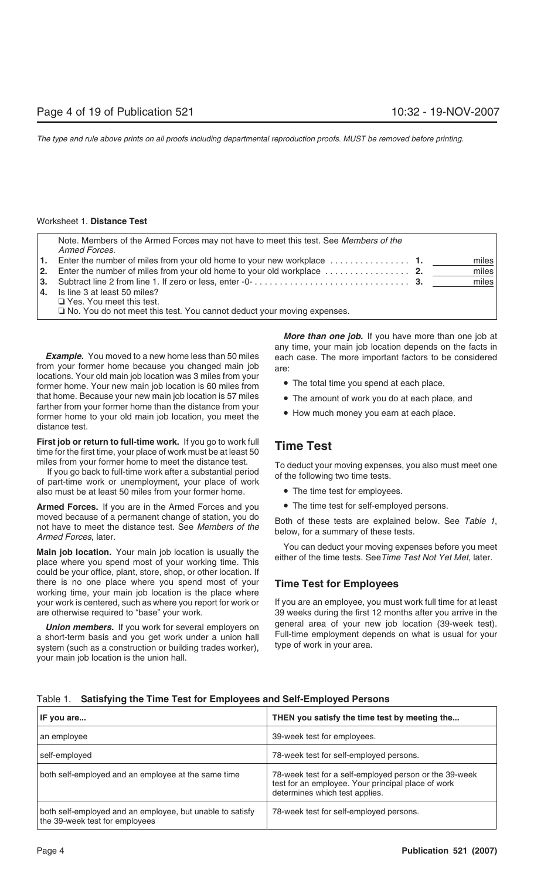| Note. Members of the Armed Forces may not have to meet this test. See Members of the<br>Armed Forces.                |       |
|----------------------------------------------------------------------------------------------------------------------|-------|
|                                                                                                                      | miles |
| 2. Enter the number of miles from your old home to your old workplace $\dots\dots\dots\dots\dots$                    | miles |
| 3. Subtract line 2 from line 1. If zero or less, enter -0- $\dots\dots\dots\dots\dots\dots\dots\dots\dots\dots\dots$ | miles |
| 4. Is line 3 at least 50 miles?                                                                                      |       |
| $\Box$ Yes. You meet this test.                                                                                      |       |
| □ No. You do not meet this test. You cannot deduct your moving expenses.                                             |       |

from your former home because you changed main job  $are:$  locations. Your old main job location was 3 miles from your former home. Your new main job location is 60 miles from • The total time you spend at each place, that home. Because your new main job location is 57 miles • The amount of work you do at each place, and farther from your former home than the distance from your<br>former home to your old main job location, you meet the • H distance test.

**First job or return to full-time work.** If you go to work full **Time Test** time for the first time, your place of work must be at least 50

also must be at least 50 miles from your former home. • The time test for employees.

Armed Forces. If you are in the Armed Forces and you • The time test for self-employed persons. moved because of a permanent change of station, you do<br>not have to meet the distance test. See *Members of the*<br>Armed Forces, later.<br>Armed Forces, later.

could be your office, plant, store, shop, or other location. If there is no one place where you spend most of your **Time Test for Employees** working time, your main job location is the place where your work is centered, such as where you report for work or If you are an employee, you must work full time for at least

your main job location is the union hall.

*More than one job.* If you have more than one job at any time, your main job location depends on the facts in **Example.** You moved to a new home less than 50 miles each case. The more important factors to be considered

- 
- 
- 

miles from your former home to meet the distance test.<br>If you go back to full-time work after a substantial period<br>of the following two time tests.<br>of part-time work or unemployment, your place of work

- 
- 

Main job location. You main job location is usually the<br>place where you spend most of your working time. This<br>either of the time tests. See Time Test Not Yet Met, later.

are otherwise required to "base" your work. 39 weeks during the first 12 months after you arrive in the **Union members.** If you work for several employers on general area of your new job location (39-week test). a short-term basis and you get work under a union hall Full-time employment depends on what is usual for your syst

| IF you are                                                                                  | THEN you satisfy the time test by meeting the                                                                                                  |
|---------------------------------------------------------------------------------------------|------------------------------------------------------------------------------------------------------------------------------------------------|
| an employee                                                                                 | 39-week test for employees.                                                                                                                    |
| self-employed                                                                               | 78-week test for self-employed persons.                                                                                                        |
| both self-employed and an employee at the same time                                         | 78-week test for a self-employed person or the 39-week<br>test for an employee. Your principal place of work<br>determines which test applies. |
| both self-employed and an employee, but unable to satisfy<br>the 39-week test for employees | 78-week test for self-employed persons.                                                                                                        |

## Table 1. **Satisfying the Time Test for Employees and Self-Employed Persons**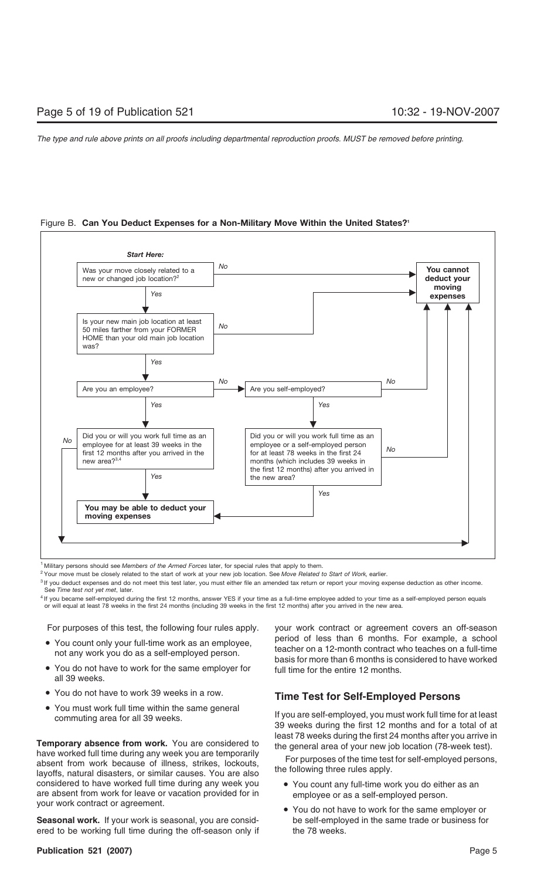



1 Military persons should see *Members of the Armed Forces* later, for special rules that apply to them.

2 Your move must be closely related to the start of work at your new job location. See *Move Related to Start of Work,* earlier.

 ${}^{3}$  If you deduct expenses and do not meet this test later, you must either file an amended tax return or report your moving expense deduction as other income. See *Time test not yet met*, later.

<sup>4</sup> If you became self-employed during the first 12 months, answer YES if your time as a full-time employee added to your time as a self-employed person equals or will equal at least 78 weeks in the first 24 months (including 39 weeks in the first 12 months) after you arrived in the new area.

- 
- all 39 weeks.
- 
- 

**Temporary absence from work.** You are considered to<br>have worked full time during any week you are temporarily<br>absent from work because of illness, strikes, lockouts,<br>layoffs, natural disasters, or similar causes. You are considered to have worked full time during any week you • You count any full-time work you do either as an are absent from work for leave or vacation provided for in employee or as a self-employed person. are absent from work for leave or vacation provided for in your work contract or agreement.

**Seasonal work.** If your work is seasonal, you are consid-<br>be self-employed in the same trade or business for ered to be working full time during the off-season only if the 78 weeks.

# For purposes of this test, the following four rules apply. your work contract or agreement covers an off-season • You count only your full-time work as an employee,<br>
not any work you do as a self-employed person.<br>
• You do not have to work for the same employer for<br>
• You do not have to work for the same employer for<br>
• You do not h

## • You do not have to work 39 weeks in a row. **Time Test for Self-Employed Persons**

• You must work full time within the same general If you are self-employed, you must work full time for at least commuting area for all 39 weeks. 39 weeks during the first 12 months and for a total of at

- 
- You do not have to work for the same employer or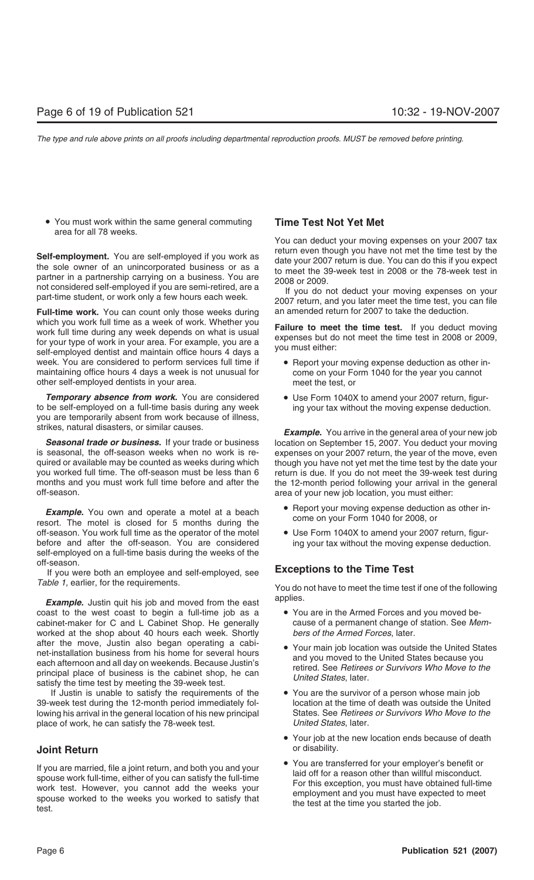• You must work within the same general commuting **Time Test Not Yet Met** area for all 78 weeks.

**Self-employment.** You are self-employed if you work as<br>the sole owner of an unincorporated business or as a<br>partner in a partnership carrying on a business. You are<br>not considered self-employed if you are semi-retired, ar

Full-time work. You can count only those weeks during an amended return for 2007 to take the deduction. which you work full time as a week of work. Whether you<br>work full time during any week depends on what is usual<br>for your type of work in your area. For example, you are a<br>self-employed dentist and maintain office hours 4 d week. You are considered to perform services full time if • Report your moving expense deduction as other inmaintaining office hours 4 days a week is not unusual for come on your Form 1040 for the year you cannot other self-employed dentists in your area. meet the test, or

**Temporary absence from work.** You are considered • Use Form 1040X to amend your 2007 return, figurto be self-employed on a full-time basis during any week ing your tax without the moving expense deduction. you are temporarily absent from work because of illness,

**Seasonal trade or business.** If your trade or business location on September 15, 2007. You deduct your moving is seasonal, the off-season weeks when no work is re-<br>expenses on your 2007 return, the year of the move, even quired or available may be counted as weeks during which though you have not yet met the time test by the date your you worked full time. The off-season must be less than 6 return is due. If you do not meet the 39-week test during months and you must work full time before and after the the 12-month period following your arrival in the general off-season. area of your new job location, you must either:

**Example.** You own and operate a motel at a beach **example.** You own and operate a motel at a beach come on your Form 1040 for 2008, or resort. The motel is closed for 5 months during the off-season. You work full time as the operator of the motel • Use Form 1040X to amend your 2007 return, figurbefore and after the off-season. You are considered ing your tax without the moving expense deduction. self-employed on a full-time basis during the weeks of the

off-season. **Exceptions to the Time Test** If you were both an employee and self-employed, see *Table 1,* earlier, for the requirements. You do not have to meet the time test if one of the following

applies. *Example.* Justin quit his job and moved from the east coast to the west coast to begin a full-time job as a • You are in the Armed Forces and you moved becabinet-maker for C and L Cabinet Shop. He generally cause of a permanent change of station. See *Mem*worked at the shop about 40 hours each week. Shortly *bers of the Armed Forces*, later. after the move, Justin also began operating a cabi-<br>net-installation business from his home for several hours<br>each afternoon and all day on weekends. Because Justin's<br>principal place of business is the cabinet shop, he can

If Justin is unable to satisfy the requirements of the • You are the survivor of a person whose main job 39-week test during the 12-month period immediately fol- location at the time of death was outside the United lowing his arrival in the general location of his new principal States. See *Retirees or Survivors Who Move to the* place of work, he can satisfy the 78-week test. *United States*, later.

## **Joint Return** or disability.

If you are married, file a joint return, and both you and your<br>spouse work full-time, either of you can satisfy the full-time<br>work test. However, you cannot add the weeks your<br>spouse worked to the weeks you worked to satis

You can deduct your moving expenses on your 2007 tax

- 
- 

strikes, natural disasters, or similar causes. *Example.* You arrive in the general area of your new job expenses on your 2007 return, the year of the move, even

- 
- 

- 
- 
- 
- Your job at the new location ends because of death
-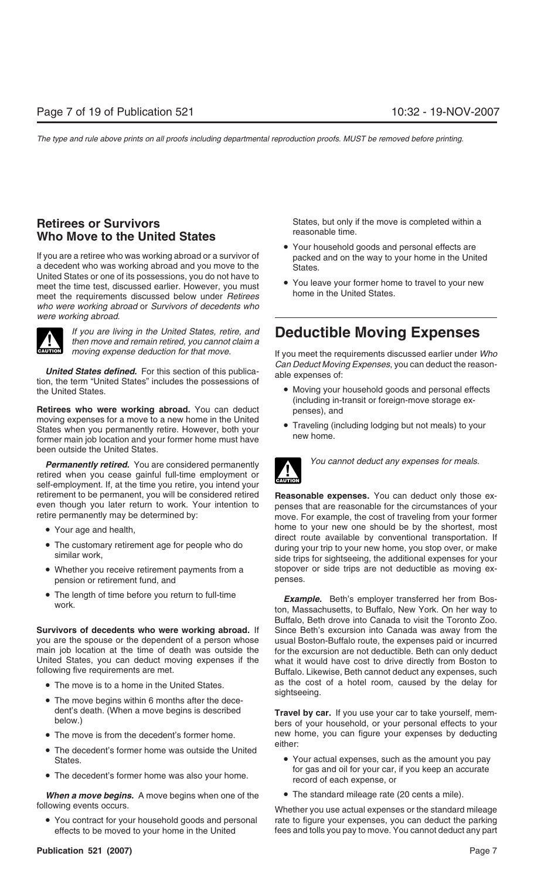# **Who Move to the United States**

If you are a retiree who was working abroad or a survivor of packed and on the way to your home in the United a decedent who was working abroad and you move to the States. United States or one of its possessions, you do not have to meet the time test, discussed earlier. However, you must<br>meet the time test, discussed earlier. However, you must<br>meet the vacuum of the Child States. meet the requirements discussed below under *Retirees who were working abroad* or *Survivors of decedents who were working abroad*.



*If you are living in the United States, retire, and* **Deductible Moving Expenses** *then move and remain retired, you cannot claim a moving expense deduction for that move.* 

the United States. **• Moving your household goods and personal effects** 

**Retirees who were working abroad.** You can deduct penses), and moving expenses for a move to a new home in the United States when you permanently retire. However, both your<br>former main job location and your former home must have new home. been outside the United States.

**Permanently retired.** You are considered permanently *Permanentice any expenses for meals.* retired when you cease gainful full-time employment or self-employment. If, at the time you retire, you intend your retirement to be permanent, you will be considered retired **Reasonable expenses.** You can deduct only those ex-<br>even though you later return to work. Your intention to penses that are reasonable for the circumstances of yo even though you later return to work. Your intention to penses that are reasonable for the circumstances of your<br>retire permanently may be determined by: move For example, the cost of traveling from your former

- 
- 
- pension or retirement fund, and
- 

you are the spouse or the dependent of a person whose usual Boston-Buffalo route, the expenses paid or incurred<br>main job location at the time of death was outside the for the excursion are not deductible. Beth can only ded main job location at the time of death was outside the for the excursion are not deductible. Beth can only deduct<br>United States, you can deduct moving expenses if the what it would have cost to drive directly from Boston t United States, you can deduct moving expenses if the what it would have cost to drive directly from Boston to

- 
- The move begins within 6 months after the dece-
- 
- The decedent's former home was outside the United<br>States.
- 

When a move begins. A move begins when one of the • The standard mileage rate (20 cents a mile).

**Retirees or Survivors**<br> **States, but only if the move is completed within a**<br> **States, but only if the move is completed within a**<br> **States**, but only if the move is completed within a

- Your household goods and personal effects are
- 

If you meet the requirements discussed earlier under *Who Can Deduct Moving Expenses*, you can deduct the reason-<br> *United States defined*. For this section of this publica-<br>
tion, the term "United States" includes the possessions of

- (including in-transit or foreign-move storage ex-
- 



move. For example, the cost of traveling from your former • Your age and health,<br>
• The customary retirement age for people who do<br>
similar work,<br>
similar work,<br>
a similar work,<br>
a single trips for sightseeing, the additional expenses for your<br>
trip to your new home, you stop ove • Whether you receive retirement payments from a stopover or side trips are not deductible as moving ex-<br>penses.<br>penses.

• The length of time before you return to full-time **Example.** Beth's employer transferred her from Bos-<br>work. We way to som, Massachusetts, to Buffalo, New York. On her way to Buffalo, Beth drove into Canada to visit the Toronto Zoo. **Survivors of decedents who were working abroad.** If Since Beth's excursion into Canada was away from the Buffalo. Likewise, Beth cannot deduct any expenses, such • The move is to a home in the United States. as the cost of a hotel room, caused by the delay for sightseeing.

dent's death. (When a move begins is described<br>below.) bers of your household, or your personal effects to your • The move is from the decedent's former home. new home, you can figure your expenses by deducting either:

- Your actual expenses, such as the amount you pay • The decedent's former home was also your home.<br>• The decedent's former home was also your home.<br>• record of each expense, or
	-

following events occurs. Whether you use actual expenses or the standard mileage • You contract for your household goods and personal rate to figure your expenses, you can deduct the parking effects to be moved to your home in the United fees and tolls you pay to move. You cannot deduct any part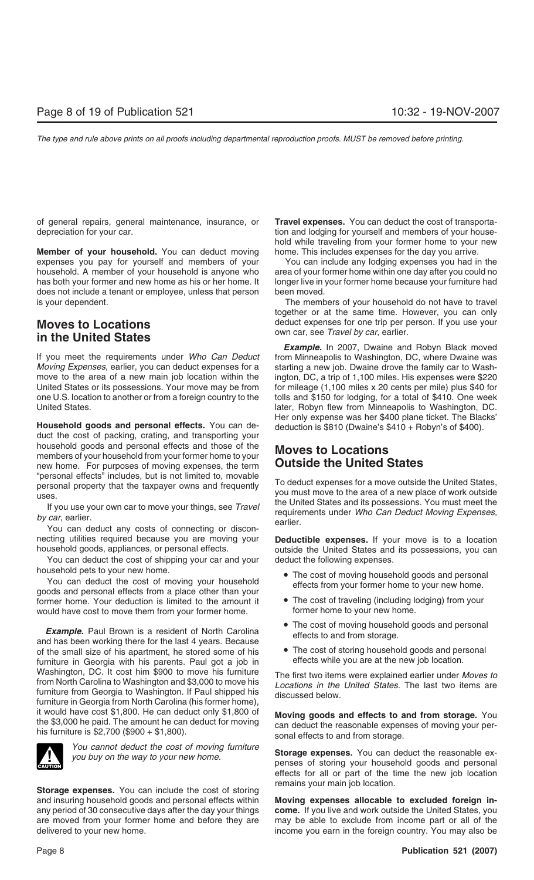of general repairs, general maintenance, insurance, or **Travel expenses.** You can deduct the cost of transportadepreciation for your car. the same of the state of your car. the state of your house-

**Member of your household.** You can deduct moving home. This includes expenses for the day you arrive. expenses you pay for yourself and members of your You can include any lodging expenses you had in the household. A member of your household is anyone who area of your former home within one day after you could no has both your former and new home as his or her home. It longer live in your former home because your furniture had does not include a tenant or employee, unless that person been moved. is your dependent. The members of your household do not have to travel

# own car, see *Travel by car*, earlier. **in the United States**

If you meet the requirements under *Who Can Deduct* from Minneapolis to Washington, DC, where Dwaine was *Moving Expenses*, earlier, you can deduct expenses for a starting a new job. Dwaine drove the family car to Washmove to the area of a new main job location within the ington, DC, a trip of 1,100 miles. His expenses were \$220 United States or its possessions. Your move may be from for mileage (1,100 miles x 20 cents per mile) plus \$40 for one U.S. location to another or from a foreign country to the tolls and \$150 for lodging, for a total of \$410. One week United States. later, Robyn flew from Minneapolis to Washington, DC.

household goods and personal effects and those of the **Moves to Locations** members of your household from your former home to your new home. For purposes of moving expenses, the term

necting utilities required because you are moving your **Deductible expenses.** If your move is to a location

You can deduct the cost of shipping your car and your deduct the following expenses.<br>household pets to your new home.

You can deduct the cost of moving your household<br>goods and personal effects from a place other than your<br>former home. Your deduction is limited to the amount it<br>former home. Your deduction is limited to the amount it<br> $\bullet$  former home. Your deduction is limited to the amount it • The cost of traveling (including log would have cost to move them from your former home. would have cost to move them from your former home.

**Example.** Paul Brown is a resident of North Carolina and has been working there for the last 4 years. Because of the small size of his apartment. he stored some of his **and has been working there for the last 4 years. Bec** of the small size of his apartment, he stored some of his • The cost of storing household goods and per<br>furniture in Georgia with his parents. Paul got a job in • effects while you are at the new job location. furniture in Georgia with his parents. Paul got a job in Washington, DC. It cost him \$900 to move his furniture<br>from North Carolina to Washington and \$3,000 to move his<br>furniture from Georgia to Washington. If Paul shipped his<br>furniture in Georgia from North Carolina (his former it would have cost \$1,800. He can deduct only \$1,800 of **Moving goods and effects to and from storage.** You the \$3,000 he paid. The amount he can deduct for moving  $\frac{1}{2}$  can deduct the reasonable expenses of moving yo



remains your main job location. **Storage expenses.** You can include the cost of storing and insuring household goods and personal effects within **Moving expenses allocable to excluded foreign in**any period of 30 consecutive days after the day your things **come.** If you live and work outside the United States, you are moved from your former home and before they are may be able to exclude from income part or all of the delivered to your new home. income you earn in the foreign country. You may also be

hold while traveling from your former home to your new

together or at the same time. However, you can only **Moves to Locations** deduct expenses for one trip per person. If you use your

*Example.* In 2007, Dwaine and Robyn Black moved Her only expense was her \$400 plane ticket. The Blacks' **Household goods and personal effects.** You can de-<br>deduction is \$810 (Dwaine's \$410 + Robyn's of \$400). duct the cost of packing, crating, and transporting your

"personal effects" includes, but is not limited to, movable<br>personal property that the taxpayer owns and frequently<br>uses.<br>If you use your own car to move your things, see *Travel*<br>by car, earlier.<br>You can deduct any costs

outside the United States and its possessions, you can

- 
- 
- 
- 

*You cannot deduct the cost of moving furniture*<br>*Storage expenses*. You can deduct the reasonable ex-<br>penses of storing your household goods and personal effects for all or part of the time the new job location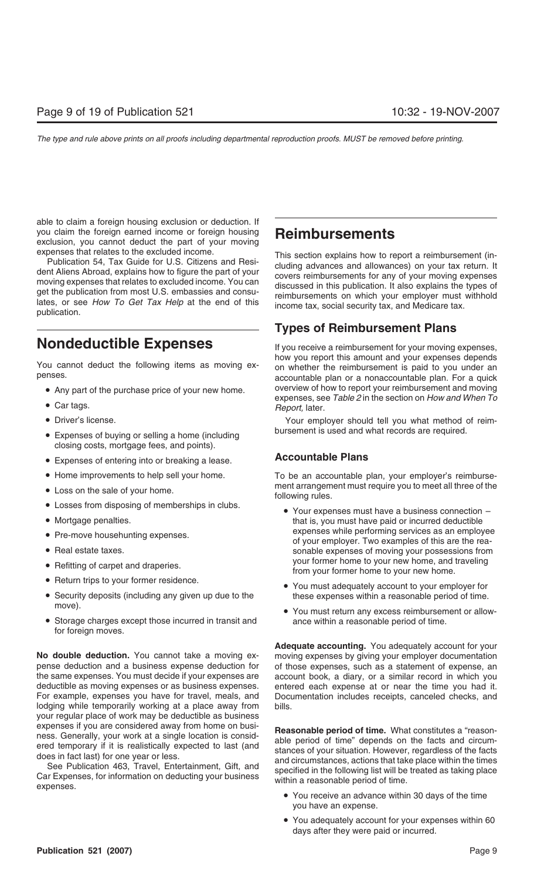able to claim a foreign housing exclusion or deduction. If you claim the foreign earned income or foreign housing **Reimbursements** exclusion, you cannot deduct the part of your moving

expenses that relates to the excluded income.<br>
Publication 54, Tax Guide for U.S. Citizens and Resi-<br>
dent Aliens Abroad, explains how to figure the part of your<br>
moving expenses that relates to excluded income. You can<br>
g

## **Nondeductible Expenses** If you receive a reimbursement for your moving expenses,

- 
- 
- 
- closing costs, mortgage fees, and points).
- Expenses of entering into or breaking a lease. **Accountable Plans**
- 
- 
- Losses from disposing of memberships in clubs.<br>• Your expenses must have a business connection –
- 
- 
- 
- 
- 
- Security deposits (including any given up due to the these expenses within a reasonable period of time.
- Storage charges except those incurred in transit and ance within a reasonable period of time. for foreign moves.

**No double deduction.** You cannot take a moving ex-<br>pense deduction and a business expense deduction for of those expenses, such as a statement of expense, an pense deduction and a business expense deduction for of those expenses, such as a statement of expense, an the same expenses. You must decide if your expenses are account book, a diary, or a similar record in which you deductible as moving expenses or as business expenses. entered each expense at or near the time you had it.<br>For example, expenses you have for travel, meals, and Documentation includes receipts, canceled checks, and lodging while temporarily working at a place away from bills. your regular place of work may be deductible as business expenses if you are considered away from home on busi-

## **Types of Reimbursement Plans**

You cannot deduct the following items as moving ex-<br>
Providence the reimbursement is paid to you under an<br>
accountable plan or a ponaccountable plan. For a quick accountable plan or a nonaccountable plan. For a quick • Any part of the purchase price of your new home. overview of how to report your reimbursement and moving expenses, see *Table 2* in the section on *How and When To* • Car tags. *Report,* later.

• Driver's license. Your employer should tell you what method of reimbursement is used and what records are required. • Expenses of buying or selling a home (including

• Home improvements to help sell your home. To be an accountable plan, your employer's reimburse-• Loss on the sale of your home.<br>
• Loss on the sale of your home.<br>
following rules.

- Mortgage penalties. that is, you must have paid or incurred deductible expenses while performing services as an employee • Pre-move househunting expenses. of your employer. Two examples of this are the rea- • Real estate taxes.  $\bullet$  sonable expenses of moving your possessions from • Refitting of carpet and draperies. The same of the system of the your former home to your new home, and traveling  $\frac{1}{2}$  from your former home to your new home.
- Return trips to your former residence.<br>• You must adequately account to your employer for
	- move). The move of the move of the move of the move of the move of the move of the move of the move of the move of the move of the move of the move of the move of the move of the move of the move of the move of the move

**Adequate accounting.** You adequately account for your account book, a diary, or a similar record in which you Documentation includes receipts, canceled checks, and

expenses if you are considered away from home on busi-<br>ness. Generally, your work at a single location is consid-<br>ered temporary if it is realistically expected to last (and<br>does in fact last) for one year or less.<br>See Pub

- You receive an advance within 30 days of the time you have an expense.
- You adequately account for your expenses within 60 days after they were paid or incurred.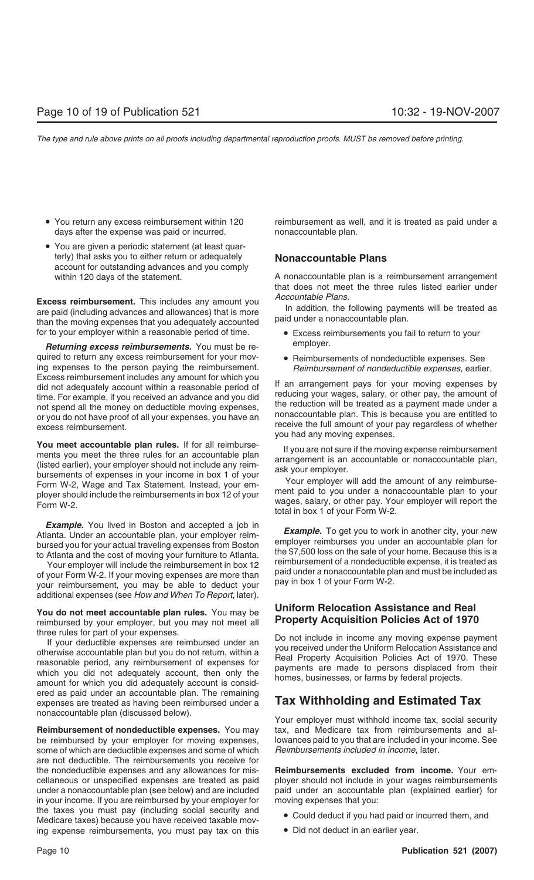- days after the expense was paid or incurred. The nonaccountable plan.
- You are given a periodic statement (at least quarterly) that asks you to either return or adequately **Nonaccountable Plans** account for outstanding advances and you comply

**Excess reimbursement.** This includes any amount you <br>are paid (including advances and allowances) that is more limeddition, the following payments will be treated as<br>than the moving expenses that you adequately accounted for to your employer within a reasonable period of time. • Excess reimbursements you fail to return to your

**Returning excess reimbursements.** You must be re-<br>**Returning excess reimbursements.** You must be required to return any excess reimbursement for your mov- • Reimbursements of nondeductible expenses. See ing expenses to the person paying the reimbursement. *Reimbursement of nondeductible expenses,* earlier. Excess reimbursement includes any amount for which you<br>did not adequately account within a reasonable period of<br>time. For example, if you received an advance and you did<br>not spend all the money on deductible moving expense

**You meet accountable plan rules.** If for all reimburse-<br>ments you meet the three rules for an accountable plan<br>(listed earlier), your employer should not include any reim-<br>bursements of expenses in your income in box 1 of

additional expenses (see *How and When To Report*, later).

reimbursed by your employer, but you may not meet all **Property Acquisition Policies Act of 1970**

ered as paid under an accountable plan. The remaining expenses are treated as having been reimbursed under a **Tax Withholding and Estimated Tax**

**Reimbursement of nondeductible expenses.** You may tax, and Medicare tax from reimbursements and albe reimbursed by your employer for moving expenses, lowances paid to you that are included in your income. See<br>some of which are deductible expenses and some of which Reimbursements included in income, later. some of which are deductible expenses and some of which are not deductible. The reimbursements you receive for the nondeductible expenses and any allowances for mis- **Reimbursements excluded from income.** Your emcellaneous or unspecified expenses are treated as paid ployer should not include in your wages reimbursements under a nonaccountable plan (see below) and are included paid under an accountable plan (explained earlier) for in your income. If you are reimbursed by your employer for moving expenses that you: the taxes you must pay (including social security and <br>Medicare taxes) because you have received taxable mov-<br> $\bullet$  Could deduct if you had paid or incurred them, and ing expense reimbursements, you must pay tax on this • Did not deduct in an earlier year.

• You return any excess reimbursement within 120 reimbursement as well, and it is treated as paid under a

within 120 days of the statement. A nonaccountable plan is a reimbursement arrangement that does not meet the three rules listed earlier under

- 
- 

you had any moving expenses.

**Example.** You lived in Boston and accepted a job in<br>Atlanta. Under an accountable plan, your employer reim-<br>bursed you for your actual traveling expenses from Boston<br>to Atlanta and the cost of moving your furniture to Atl

# You do not meet accountable plan rules. You may be **Uniform Relocation Assistance and Real**

three rules for part of your expenses.<br>
If your deductible expenses are reimbursed under an<br>
otherwise accountable plan but you do not return, within a<br>
reasonable period, any reimbursement of expenses for<br>
which you did n

nonaccountable plan (discussed below). Your employer must withhold income tax, social security

- 
-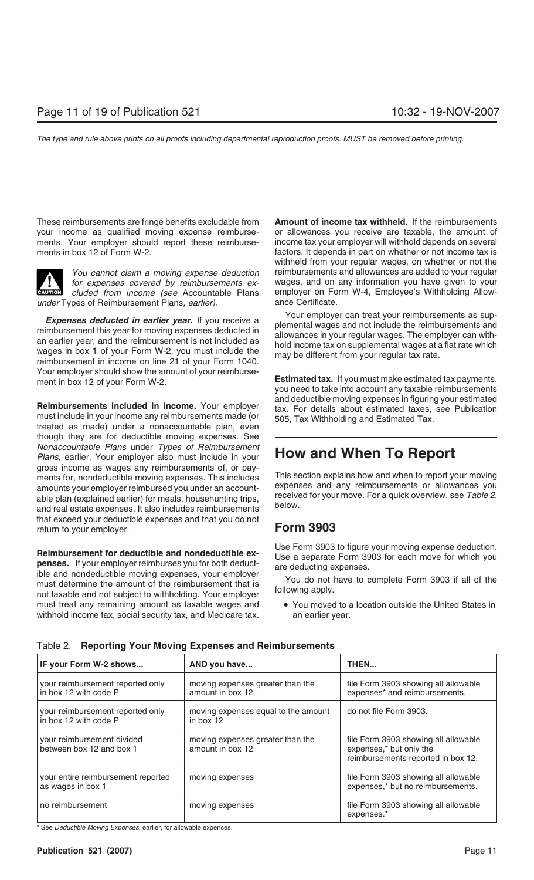These reimbursements are fringe benefits excludable from **Amount of income tax withheld.** If the reimbursements your income as qualified moving expense reimburse- or allowances you receive are taxable, the amount of ments. Your employer should report these reimburse- income tax your employer will withhold depends on several ments. Your employer should report these reimbursements in box 12 of Form W-2. **Factors** is factors. It depends in part on whether or not income tax is



*under* Types of Reimbursement Plans*, earlier).* ance Certificate.

**Expenses deducted in earlier year.** If you receive a<br>reimbursement this year for moving expenses deducted in<br>an earlier year, and the reimbursement is not included as<br>wages in box 1 of your Form W-2, you must include the<br> Your employer should show the amount of your reimbursement in box 12 of your Form W-2. **Estimated tax.** If you must make estimated tax payments,

**Reimbursements included in income.** Your employer and deductible moving expenses in figuring your estimated must include in your income any reimbursements made (or treated as made) under a nonaccountable plan, even though they are for deductible moving expenses. See *Nonaccountable Plans* under *Types of Reimbursement Plans*, earlier. Your employer also must include in your **How and When To Report** gross income as wages any reimbursements of, or payments for, nondeductible moving expenses. This includes This section explains how and when to report your moving<br>amounts your employer reimbursed you under an account. expenses and any reimbursements or allowances you amounts your employer reimbursed you under an account-<br>able plan (explained earlier) for meals, househunting trips,<br>and real estate expenses. It also includes reimbursements<br>below.<br>below. that exceed your deductible expenses and that you do not return to your employer. **Form 3903**

**Reimbursement for deductible and nondeductible ex-**<br> **Penses.** If your employer reimburses you for both deduct-<br>
ible and nondeductible moving expenses, your employer<br>
must determine the amount of the reimbursement that i must treat any remaining amount as taxable wages and • You moved to a location outside the United States in withhold income tax, social security tax, and Medicare tax. an earlier year.

withheld from your regular wages, on whether or not the *You cannot claim a moving expense deduction* reimbursements and allowances are added to your regular *for expenses covered by reimbursements ex-* wages, and on any information you have given to your *cluded from income (see* Accountable Plans employer on Form W-4, Employee's Withholding Allow-

you need to take into account any taxable reimbursements

| IF your Form W-2 shows                                    | AND you have                                         | THEN                                                                                                  |
|-----------------------------------------------------------|------------------------------------------------------|-------------------------------------------------------------------------------------------------------|
| your reimbursement reported only<br>in box 12 with code P | moving expenses greater than the<br>amount in box 12 | file Form 3903 showing all allowable<br>expenses* and reimbursements.                                 |
| your reimbursement reported only<br>in box 12 with code P | moving expenses equal to the amount<br>in box $12$   | do not file Form 3903.                                                                                |
| your reimbursement divided<br>between box 12 and box 1    | moving expenses greater than the<br>amount in box 12 | file Form 3903 showing all allowable<br>expenses,* but only the<br>reimbursements reported in box 12. |
| your entire reimbursement reported<br>as wages in box 1   | moving expenses                                      | file Form 3903 showing all allowable<br>expenses,* but no reimbursements.                             |
| no reimbursement                                          | moving expenses                                      | file Form 3903 showing all allowable<br>expenses.*                                                    |

Table 2. **Reporting Your Moving Expenses and Reimbursements**

\* See *Deductible Moving Expenses*, earlier, for allowable expenses.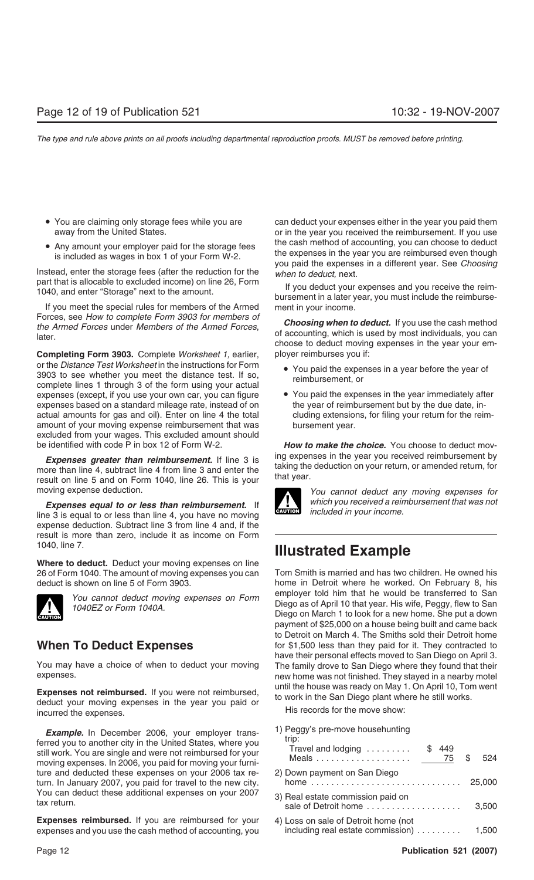- 
- 

If you meet the special rules for members of the Armed ment in your income.<br>Forces, see How to complete Form 3903 for members of

**Completing Form 3903.** Complete *Worksheet 1,* earlier, ployer reimburses you if: or the Distance Test Worksheet in the instructions for Form<br>3903 to see whether you meet the distance test. If so,<br>complete lines 1 through 3 of the form using your actual<br>quarently reimbursement, or expenses (except, if you use your own car, you can figure • You paid the expenses in the year immediately after expenses based on a standard mileage rate, instead of on the year of reimbursement but by the due date, inactual amounts for gas and oil). Enter on line 4 the total cluding extensions, for filing your return for the reimamount of your moving expense reimbursement that was bursement year. excluded from your wages. This excluded amount should be identified with code P in box 12 of Form W-2. *How to make the choice.* You choose to deduct mov-

**Expenses greater than reimbursement.** If line 3 is ing expenses in the year you received reimbursement by more than line 4, subtract line 4 from line 3 and enter the result on line 5 and on Form 1040, line 26. This is you moving expense deduction. *You cannot deduct any moving expenses for*

line 3 is equal to or less than line 4, you have no moving expense deduction. Subtract line 3 from line 4 and, if the result is more than zero, include it as income on Form

**Where to deduct.** Deduct your moving expenses on line 26 of Form 1040. The amount of moving expenses you can Tom Smith is married and has two children. He owned his



**Expenses not reimbursed.** If you were not reimbursed,<br>deduct your moving expenses in the year you paid or<br>incurred the expenses.<br>His records for the move show:<br>His records for the move show:

ture and deducted these expenses on your 2006 tax re- 2) Down payment on San Diego turn. In January 2007, you paid for travel to the new city.  $h$  home  $\ldots, \ldots, \ldots, \ldots, \ldots, \ldots$ ............... 25,000

**Expenses reimbursed.** If you are reimbursed for your 4) Loss on sale of Detroit home (not

• You are claiming only storage fees while you are can deduct your expenses either in the year you paid them away from the United States.  $\qquad \qquad \text{or in the year you received the rimbursement. If you use$ • Any amount your employer paid for the storage fees<br>is included as wages in box 1 of your Form W-2.<br>Instead, enter the storage fees (after the reduction for the when to deduct, next.<br>part that is allocable to excluded inc

part that is allocable to excluded income) on line 20, Form If you deduct your expenses and you receive the reim-<br>1040, and enter "Storage" next to the amount.<br>bursement in a later year, you must include the reimburse-

the Armed Forces under Members of the Armed Forces,<br>later and Forces under Members of the Armed Forces,<br>later choose to deduct moving expenses in the year your em-

- 
- 



**Expenses equal to or less than reimbursement.** If **the substitute that was not** *which you received a reimbursement that was not included in your income.* 

## 1040, line 7. **Illustrated Example**

deduct is shown on line 5 of Form 3903. home in Detroit where he worked. On February 8, his employer told him that he would be transferred to San *You cannot deduct moving expenses on Form* Diego as of April 10 that year. His wife, Peggy, flew to San *1040EZ or Form 1040A.* Diego on March 1 to look for a new home. She put a down payment of \$25,000 on a house being built and came back to Detroit on March 4. The Smiths sold their Detroit home **When To Deduct Expenses for \$1,500 less than they paid for it. They contracted to** have their personal effects moved to San Diego on April 3. You may have a choice of when to deduct your moving The family drove to San Diego where they found that their expenses. new home was not finished. They stayed in a nearby motel

**Example.** In December 2006, your employer trans-<br>ferred you to another city in the United States, where you<br>still work. You are single and were not reimbursed for your<br>moving expenses. In 2006, you paid for moving your f You can deduct these additional expenses on your 2007 3) Real estate commission paid on<br>tax return. ...................... 3,500 expenses and you use the cash method of accounting, you including real estate commission) ......... 1,500

Page 12 **Publication 521 (2007)**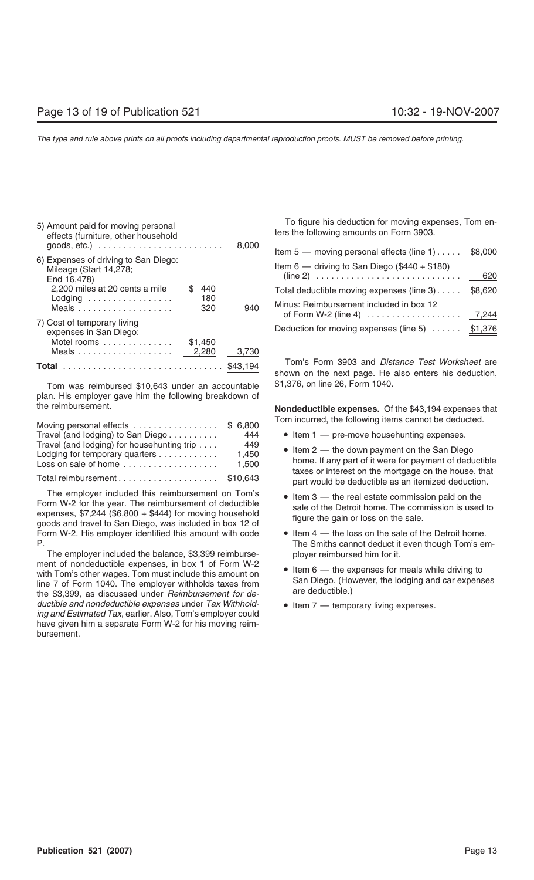|            |       | TO liquite rils deduction for moving experises, form em-<br>ters the following amounts on Form 3903.    |                                                                                                 |
|------------|-------|---------------------------------------------------------------------------------------------------------|-------------------------------------------------------------------------------------------------|
|            |       |                                                                                                         | \$8,000                                                                                         |
|            |       | Item 6 — driving to San Diego $(\$440 + \$180)$                                                         |                                                                                                 |
| 440<br>\$. |       | Total deductible moving expenses (line 3)                                                               | \$8,620                                                                                         |
| 320        | 940   | Minus: Reimbursement included in box 12                                                                 |                                                                                                 |
|            |       |                                                                                                         |                                                                                                 |
|            |       |                                                                                                         |                                                                                                 |
| \$1,450    |       |                                                                                                         |                                                                                                 |
|            | 3,730 |                                                                                                         |                                                                                                 |
|            |       | Tom's Form 3903 and Distance Test Worksheet are<br>shown on the next nage. He also enters his deduction |                                                                                                 |
|            | 180   | 8,000<br>goods, etc.) $\ldots \ldots \ldots \ldots \ldots \ldots \ldots$                                | Item $5$ — moving personal effects (line $1)$<br>Deduction for moving expenses (line 5) \$1,376 |

Tom was reimbursed \$10,643 under an accountable \$1,376, on line 26, Form 1040. plan. His employer gave him the following breakdown of the reimbursement. **Nondeductible expenses.** Of the \$43,194 expenses that

| Moving personal effects \$ 6,800                                                                                                          |                       | Form incurred, the following items cannot be deducted.                                                                                                                 |
|-------------------------------------------------------------------------------------------------------------------------------------------|-----------------------|------------------------------------------------------------------------------------------------------------------------------------------------------------------------|
| Travel (and lodging) to San Diego                                                                                                         | 444                   | $\bullet$ Item 1 — pre-move househunting expenses.                                                                                                                     |
| Travel (and lodging) for househunting trip<br>Lodging for temporary quarters<br>Loss on sale of home $\ldots \ldots \ldots \ldots \ldots$ | 449<br>1.450<br>1,500 | $\bullet$ Item 2 — the down payment on the San Diego<br>home. If any part of it were for payment of deductible<br>taxes or interest on the mortgage on the house, that |
| Total reimbursement \$10,643                                                                                                              |                       | part would be deductible as an itemized deduction.                                                                                                                     |

The employer included this reimbursement on Tom's<br>
Form W-2 for the year. The reimbursement of deductible<br>
expenses, \$7,244 (\$6,800 + \$444) for moving household<br>
goods and travel to San Diego, was included in box 12 of<br>
Fo Form W-2. His employer identified this amount with code P. The Smiths cannot deduct it even though Tom's em-

The employer included the balance, \$3,399 reimburse-<br>ment of nondeductible expenses, in box 1 of Form W-2 with Tom's other wages. Tom must include this amount on<br>line 7 of Form 1040. The employer withholds taxes from<br>the \$3,399, as discussed under *Reimbursement for de* are deductible.) *ductible and nondeductible expenses* under *Tax Withhold-* • Item 7 — temporary living expenses. *ing and Estimated Tax*, earlier. Also, Tom's employer could have given him a separate Form W-2 for his moving reimbursement.

To figure his deduction for moving expenses, Tom enters the following amounts on Form 3903.

|                                                                            | o.uuu | Item $5$ — moving personal effects (line 1) $\dots$                                                        | \$8,000 |
|----------------------------------------------------------------------------|-------|------------------------------------------------------------------------------------------------------------|---------|
| Expenses of driving to San Diego:<br>Mileage (Start 14,278;<br>End 16,478) |       | Item 6 — driving to San Diego $(\$440 + \$180)$                                                            | 620     |
| 2,200 miles at 20 cents a mile<br>440                                      |       | Total deductible moving expenses (line 3)                                                                  | \$8,620 |
| 180<br>- 320                                                               | 940   | Minus: Reimbursement included in box 12<br>of Form W-2 (line 4) $\ldots \ldots \ldots \ldots \ldots$ 7,244 |         |
| Cost of temporary living<br>expenses in San Diego:                         |       | Deduction for moving expenses (line 5)                                                                     | \$1,376 |

Tom's Form 3903 and *Distance Test Worksheet* are shown on the next page. He also enters his deduction,

Tom incurred, the following items cannot be deducted.

- $\bullet$  Item 1 pre-move househunting expenses.
- 
- 
- 
- 
-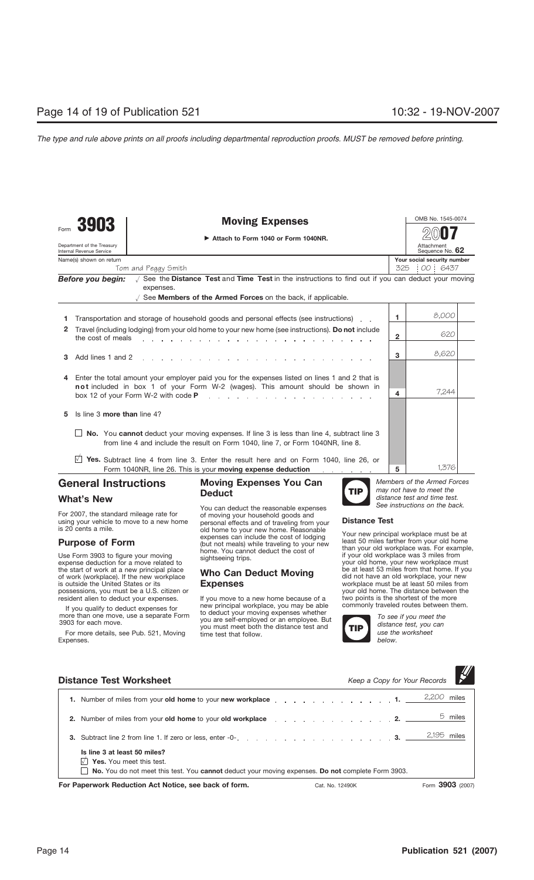Form **3903**

Department of the Treasury Internal Revenue Service

Tom and Peggy Smith

## Moving Expenses <u>Andrea Moving Expenses</u>

**Attach to Form 1040 or Form 1040NR.**

**2007**

Attachment Sequence No. **62**

7,244

1,376

325 00 6437 Name(s) shown on return **Your social security number Your social security number** 

| See the <b>Distance Test</b> and <b>Time Test</b> in the instructions to find out if you can deduct your moving<br>Before you begin:<br>expenses.                                                                                                                                                                                                       |   |       |  |
|---------------------------------------------------------------------------------------------------------------------------------------------------------------------------------------------------------------------------------------------------------------------------------------------------------------------------------------------------------|---|-------|--|
| See Members of the Armed Forces on the back, if applicable.                                                                                                                                                                                                                                                                                             |   |       |  |
| Transportation and storage of household goods and personal effects (see instructions).                                                                                                                                                                                                                                                                  |   | 8.000 |  |
| Travel (including lodging) from your old home to your new home (see instructions). Do not include<br>the cost of meals<br>and the second contract of the second contract of the second contract of the second contract of the second contract of the second contract of the second contract of the second contract of the second contract of the second | 2 | 620   |  |
| Add lines 1 and 2<br>the contract of the contract of the contract of the contract of the contract of the                                                                                                                                                                                                                                                | 3 | 8.620 |  |

- Enter the total amount your employer paid you for the expenses listed on lines 1 and 2 that is **4 not** included in box 1 of your Form W-2 (wages). This amount should be shown in box 12 of your Form W-2 with code **P**
- **5** Is line 3 **more than** line 4?
	- **No.** You **cannot** deduct your moving expenses. If line 3 is less than line 4, subtract line 3 from line 4 and include the result on Form 1040, line 7, or Form 1040NR, line 8.
	- $\overrightarrow{1}$  Yes. Subtract line 4 from line 3. Enter the result here and on Form 1040, line 26, or Form 1040NR, line 26. This is your **moving expense deduction**

## **General Instructions**

## **What's New**

For 2007, the standard mileage rate for using your vehicle to move to a new home is 20 cents a mile.

## **Purpose of Form**

Use Form 3903 to figure your moving expense deduction for a move related to the start of work at a new principal place of work (workplace). If the new workplace is outside the United States or its possessions, you must be a U.S. citizen or resident alien to deduct your expenses.

If you qualify to deduct expenses for more than one move, use a separate Form 3903 for each move.

For more details, see Pub. 521, Moving Expenses.

## **Moving Expenses You Can Deduct**

You can deduct the reasonable expenses of moving your household goods and personal effects and of traveling from your old home to your new home. Reasonable expenses can include the cost of lodging (but not meals) while traveling to your new home. You cannot deduct the cost of sightseeing trips.

## **Who Can Deduct Moving Expenses**

If you move to a new home because of a new principal workplace, you may be able to deduct your moving expenses whether you are self-employed or an employee. But you must meet both the distance test and time test that follow.



*Members of the Armed Forces may not have to meet the distance test and time test. See instructions on the back.*

**5**

**4**

## **Distance Test**

Your new principal workplace must be at least 50 miles farther from your old home than your old workplace was. For example, if your old workplace was 3 miles from your old home, your new workplace must be at least 53 miles from that home. If you did not have an old workplace, your new workplace must be at least 50 miles from your old home. The distance between the two points is the shortest of the more commonly traveled routes between them.



*To see if you meet the distance test, you can use the worksheet below.*

| <b>Distance Test Worksheet</b>                                                                                                                                                                                                 | Keep a Copy for Your Records |
|--------------------------------------------------------------------------------------------------------------------------------------------------------------------------------------------------------------------------------|------------------------------|
| 1. Number of miles from your old home to your new workplace $\ldots$ 1. $2,200$ miles                                                                                                                                          |                              |
| 2. Number of miles from your old home to your old workplace entitled and the same of the same of the same of the same of the same of the same of the same of the same of the same of the same of the same of the same of the s | $5$ miles                    |
|                                                                                                                                                                                                                                |                              |
| Is line 3 at least 50 miles?<br>Yes. You meet this test.<br>$\Box$ No. You do not meet this test. You cannot deduct your moving expenses. Do not complete Form 3903.                                                           |                              |
| For Paperwork Reduction Act Notice, see back of form.<br>Cat. No. 12490K                                                                                                                                                       | Form 3903 (2007)             |

 $\blacksquare$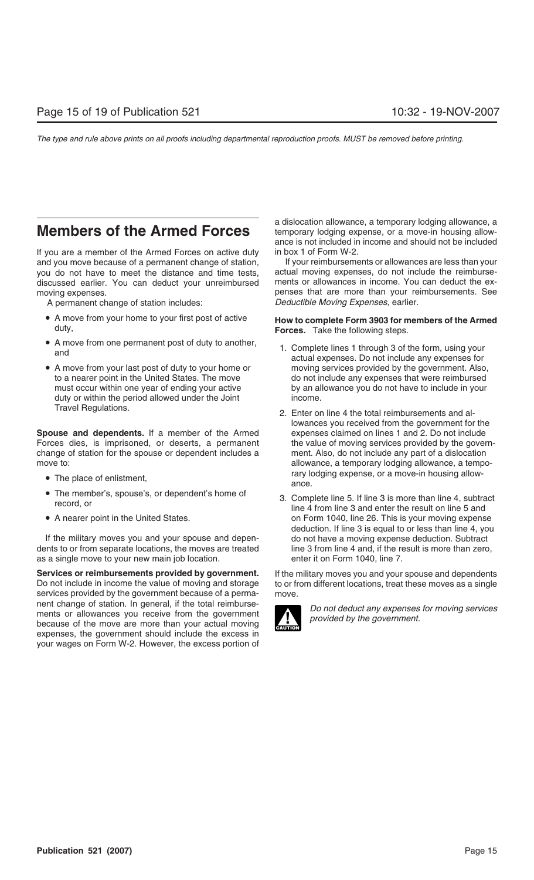If you are a member of the Armed Forces on active duty in box 1 of Form W-2. and you move because of a permanent change of station, If your reimbursements or allowances are less than your<br>vou do not have to meet the distance and time tests, actual moving expenses, do not include the reimburseyou do not have to meet the distance and time tests, actual moving expenses, do not include the reimburse-<br>discussed earlier. You can deduct your unreimbursed a ments or allowances in income. You can deduct the exdiscussed earlier. You can deduct your unreimbursed moving expenses. penses that are more than your reimbursements. See

A permanent change of station includes: *Deductible Moving Expenses*, earlier.

- 
- A move from one permanent post of duty to another, <br>and actual expenses. Do not include any expenses for
- duty or within the period allowed under the Joint income. Travel Regulations. 2. Enter on line 4 the total reimbursements and al-

**Spouse and dependents.** If a member of the Armed expenses claimed on lines 1 and 2. Do not include Forces dies, is imprisoned, or deserts, a permanent the value of moving services provided by the governchange of station for the spouse or dependent includes a ment. Also, do not include any part of a dislocation move to: **allowance**, a temporary lodging allowance, a tempo-

- 
- 
- 

If the military moves you and your spouse and depen- do not have a moving expense deduction. Subtract dents to or from separate locations, the moves are treated line 3 from line 4 and, if the result is more than zero, as a single move to your new main job location. enter it on Form 1040, line 7.

**Services or reimbursements provided by government.** If the military moves you and your spouse and dependents Do not include in income the value of moving and storage to or from different locations, treat these moves as a single services provided by the government because of a perma- move. nent change of station. In general, if the total reimburse-<br>ments or allowances you receive from the government<br>because of the move are more than your actual moving<br>movided by the government. expenses, the government should include the excess in your wages on Form W-2. However, the excess portion of

a dislocation allowance, a temporary lodging allowance, a **Members of the Armed Forces** temporary lodging expense, or a move-in housing allowance is not included in income and should not be included

# • A move from your home to your first post of active **How to complete Form 3903 for members of the Armed** duty, **Forces.** Take the following steps.

- A move from your last post of duty to your home or moving services provided by the government. Also, to a nearer point in the United States. The move do not include any expenses that were reimbursed must occur within one year of ending your active by an allowance you do not have to include in your
- lowances you received from the government for the • The place of enlistment,  $r = 1$  and  $r = 2$  ance. The place of enlistment,  $r = 3$  ance.
- The member's, spouse's, or dependent's home of 3. Complete line 5. If line 3 is more than line 4, subtract record, or line 5 and enter the result on line 5 and • A nearer point in the United States. **on Form 1040**, line 26. This is your moving expense deduction. If line 3 is equal to or less than line 4, you

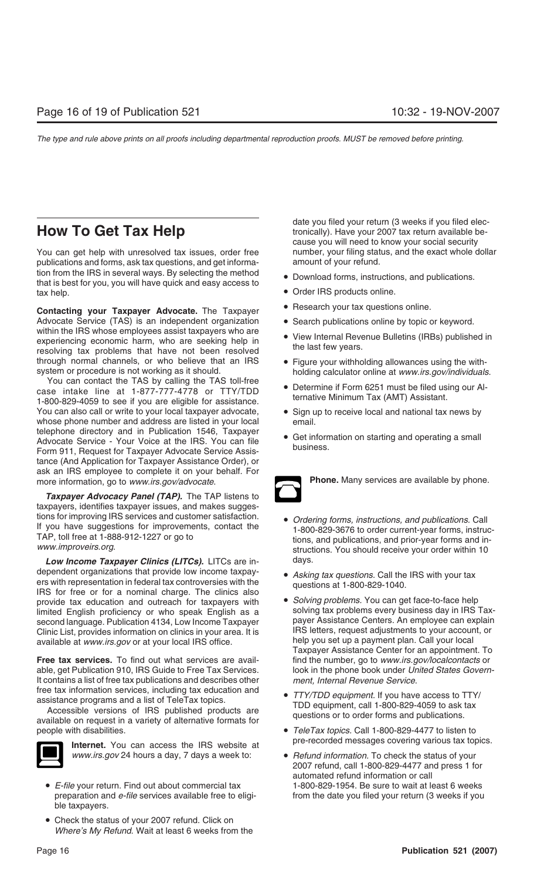You can get help with unresolved tax issues, order free number, your filing status, and the exact whole dollar publications and forms, ask tax questions, and get informa- amount of your refund. tion from the IRS in several ways. By selecting the method  $\bullet$  Download forms, instructions, and publications.<br>that is best for you, you will have quick and easy access to tax help. **• Constanting the Constantine Constantine Constantine Constantine Order IRS products online.** 

**Contacting your Taxpayer Advocate.** The Taxpayer • Research your tax questions online. Advocate Service (TAS) is an independent organization • Search publications online by topic or keyword.<br>within the IRS whose employees assist taxpayers who are experiencing economic harm, who are seeking help in experiencing economic harm, who are seeking help in resolving tax problems that have not been resolved the last few years. through normal channels, or who believe that an IRS • Figure your withholding allowances using the with-<br>holding calculator online at www.irs.gov/individuals

case intake line at 1-877-777-4778 or TTY/TDD • Determine if Form 6251 must be filed using our Al-<br>1-800-829-4059 to see if you are eligible for assistance. You can also call or write to your local taxpayer advocate,  $\bullet$  Sign up to receive local and national tax news by whose phone number and address are listed in your local email.<br>telephone directory and in Publication 1546, Taxpayer Advocate Service - Your Voice at the IRS. You can file<br>
Form 911, Request for Taxpayer Advocate Service Assis-<br>
Form 911, Request for Taxpayer Advocate Service Assistance (And Application for Taxpayer Assistance Order), or ask an IRS employee to complete it on your behalf. For more information, go to *www.irs.gov/advocate.* Phone. **Phone.** Many services are available by phone.

**Taxpayer Advocacy Panel (TAP).** The TAP listens to taxpayers, identifies taxpayer issues, and makes suggestions for improving IRS services and customer satisfaction.<br>If you have suggestions for improvements, contact the<br>1.800-829-3676 to order current-year forms, instructions.

Low Income Taxpayer Clinics (LITCs). LITCs are in- days. dependent organizations that provide low income taxpay-<br>
example ax questions. Call the IRS with your tax<br>
ers with representation in federal tax controversies with the<br>
IRS for free or for a nominal charge. The clinics al provide tax education and outreach for taxpayers with • *Solving problems.* You can get face-to-face help limited English proficiency or who speak English as a solving tax problems every business day in IRS Tax-<br>second language, Publication 4134, Low Income Taxpayer payer Assistance Centers. An employee can explain second language. Publication 4134, Low Income Taxpayer payer Assistance Centers. An employee can explain<br>Clinic List, provides information on clinics in your area. It is [RS letters, request adjustments to your account, or Clinic List, provides information on clinics in your area. It is IRS letters, request adjustments to your accoun<br>IRS letters, request adjustments to your account available at www.irs gov.or at your local

**Free tax services.** To find out what services are avail- find the number, go to *www.irs.gov/localcontacts* or able, get Publication 910, IRS Guide to Free Tax Services. look in the phone book under *United States Govern-*It contains a list of free tax publications and describes other *ment, Internal Revenue Service*.

people with disabilities. • *TeleTax topics.* Call 1-800-829-4477 to listen to



- *E-file* your return. Find out about commercial tax 1-800-829-1954. Be sure to wait at least 6 weeks preparation and *e-file* services available free to eligi- from the date you filed your return (3 weeks if you ble taxpayers.
- Check the status of your 2007 refund. Click on *Where's My Refund*. Wait at least 6 weeks from the

date you filed your return (3 weeks if you filed elec-**How To Get Tax Help** tronically). Have your 2007 tax return available because you will need to know your social security

- 
- 
- 
- 
- 
- stem or procedure is not working as it should. holding calculator online at *www.irs.gov/individuals.*<br>You can contact the TAS by calling the TAS toll-free
	-
	-
	-



- If you have suggestions for improvements, contact the 1-800-829-3676 to order current-year forms, instruc-<br>TAP, toll free at 1-888-912-1227 or go to<br>www.improveirs.org. example the structions. And publications, and prior-y
	-
- available at *www.irs.gov* or at your local IRS office. Thelp you set up a payment plan. Call your local up a payment plan. Call your local interest or at your local IRS office. The state of an appointment. To
- Free tax information services, including tax education and<br>assistance programs and a list of TeleTax topics.<br>Accessible versions of IRS published products are<br>available on request in a variety of alternative formats for<br>al
	- pre-recorded messages covering various tax topics. **Internet.** You can access the IRS website at
	- *www.irs.gov* 24 hours a day, 7 days a week to: *Refund information.* To check the status of your 2007 refund, call 1-800-829-4477 and press 1 for automated refund information or call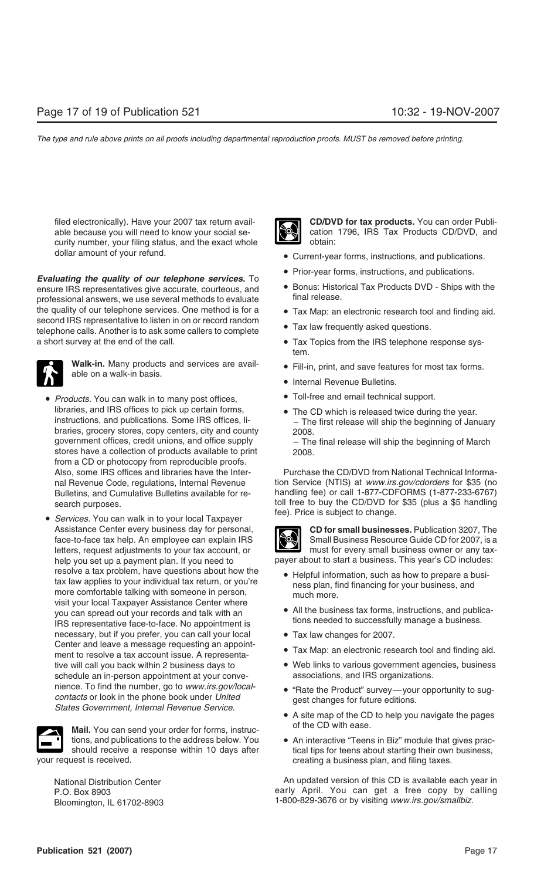filed electronically). Have your 2007 tax return avail- **CD/DVD for tax products.** You can order Publiable because you will need to know your social se-<br>curity number your filing status, and the exact whole obtain:<br>obtain: curity number, your filing status, and the exact whole dollar amount of your refund.  $\bullet$  Current-year forms, instructions, and publications.

• Prior-year forms, instructions, and publications. *Evaluating the quality of our telephone services.* To ensure IRS representatives give accurate, courteous, and • Bonus: Historical Tax Professional Tax Products DVD - Ships with the Ships with the Ships professional Tax Products DVD - Ships with the Ships with the Ships with professional answers, we use several methods to evaluate the quality of our telephone services. One method is for a • Tax Map: an electronic research tool and finding aid. second IRS representative to listen in on or record random<br>telephone calls. Another is to ask some callers to complete **• Tax law frequently asked questions**. a short survey at the end of the call. **• Tax Topics from the IRS telephone response sys-**



**Walk-in.** Many products and services are avail-<br>able on a walk-in basis.<br>• Internal Revenue Bulletins.

- *Products.* You can walk in to many post offices, Toll-free and email technical support. libraries, and IRS offices to pick up certain forms,<br>instructions, and publications. Some IRS offices, li-<br>– The first release will ship the beginning of January braries, grocery stores, copy centers, city and county 2008.<br>government offices, credit unions, and office supply  $-$  The stores have a collection of products available to print 2008. from a CD or photocopy from reproducible proofs.
- **Services.** You can walk in to your local Taxpayer Assistance Center every business day for personal, **CD for small businesses.** Publication 3207, The face-to-face tax help. An employee can explain IRS **Source Small Business Resource Guide CD** for 2007, is a letters, request adjustments to your tax account, or must for every small business owner or any taxhelp you set up a payment plan. If you need to payer about to start a business. This year's CD includes: resolve a tax problem, have questions about how the<br>tax law applies to your individual tax return, or you're<br>more comfortable talking with someone in person,<br>visit your local Taxpayer Assistance Center where<br> $\frac{1}{2}$  much you can spread out your records and talk with an <br>IRS representative face-to-face. No appointment is tions needed to successfully manage a business. necessary, but if you prefer, you can call your local • Tax law changes for 2007.<br>Center and leave a message requesting an appoint-Center and leave a message requesting an appoint  $\bullet$  Tax Map: an electronic research tool and finding aid.<br>ment to resolve a tax account issue. A representaschedule an in-person appointment at your conve- associations, and IRS organizations. nience. To find the number, go to www.irs.gov/local-<br>contacts or look in the phone book under United<br>States Government, Internal Revenue Service.<br>A site map of the CD to help you navigate the pages

of the CD with ease. **Mail.** You can send your order for forms, instrucyour request is received. The same state of the creating a business plan, and filing taxes.



- 
- 
- 
- 
- 
- tem.
- 
- 
- 
- - The final release will ship the beginning of March

Also, some IRS offices and libraries have the Inter- Purchase the CD/DVD from National Technical Informanal Revenue Code, regulations, Internal Revenue tion Service (NTIS) at *www.irs.gov/cdorders* for \$35 (no Bulletins, and Cumulative Bulletins available for re- handling fee) or call 1-877-CDFORMS (1-877-233-6767) search purposes.<br>
toll free to buy the CD/DVD for \$35 (plus a \$5 handling<br>
fee). Price is subject to change.



- 
- 
- 
- 
- tive will call you back within 2 business days to Web links to various government agencies, business
	-
	-
	- tions, and publications to the address below. You An interactive "Teens in Biz" module that gives pracshould receive a response within 10 days after tical tips for teens about starting their own business,

National Distribution Center An updated version of this CD is available each year in P.O. Box 8903 early April. You can get a free copy by calling Bloomington, IL 61702-8903 1-800-829-3676 or by visiting *www.irs.gov/smallbiz*.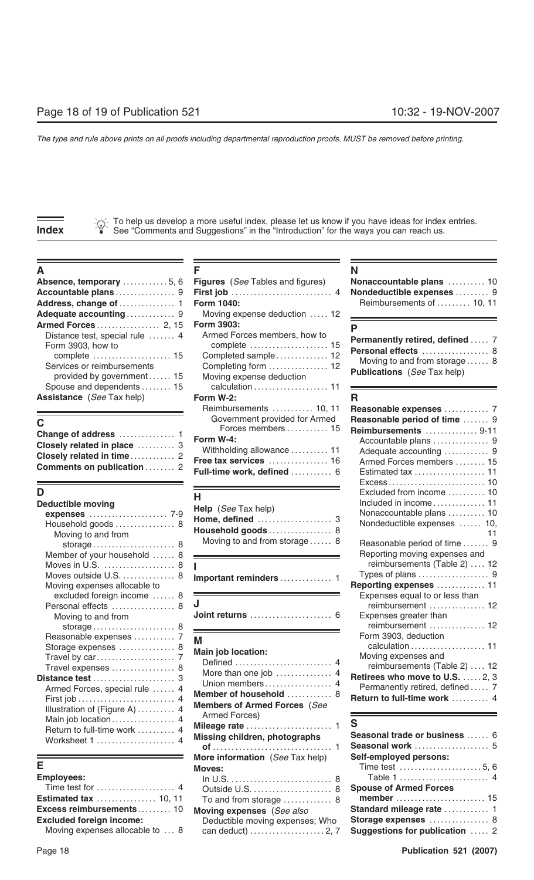To help us develop a more useful index, please let us know if you have ideas for index entries. **Index** See "Comments and Suggestions" in the "Introduction" for the ways you can reach us.

| <b>Absence, temporary</b> 5, 6 Figures (See Tables and figures)<br>Adequate accounting 9                                                    | Moving expense deduction  12                                                                           | Nonaccountable plans  10<br>Reimbursements of  10, 11                                                                        |
|---------------------------------------------------------------------------------------------------------------------------------------------|--------------------------------------------------------------------------------------------------------|------------------------------------------------------------------------------------------------------------------------------|
| Distance test, special rule  4<br>Form 3903, how to<br>Services or reimbursements<br>provided by government 15<br>Spouse and dependents  15 | Armed Forces members, how to<br>Completed sample 12<br>Completing form  12<br>Moving expense deduction | Permanently retired, defined  7<br>Personal effects  8<br>Moving to and from storage 8<br><b>Publications</b> (See Tax help) |
| <b>Assistance</b> (See Tax help)                                                                                                            | Form W-2:                                                                                              | н                                                                                                                            |

| Closely related in place  3       |  |
|-----------------------------------|--|
| Closely related in time 2         |  |
| <b>Comments on publication  2</b> |  |

| <b>Deductible moving</b><br>Household goods  8<br>Moving to and from                                                                                  | Help (See Tax help)<br>Household goods  8                     | Included in income 11<br>Nonaccountable plans  10<br>Nondeductible expenses  10, |
|-------------------------------------------------------------------------------------------------------------------------------------------------------|---------------------------------------------------------------|----------------------------------------------------------------------------------|
| $\begin{minipage}[c]{0.9\linewidth} \textit{storage} \dots \dots \dots \dots \dots \dots \dots \quad 8 \end{minipage}$<br>Member of your household  8 | Moving to and from storage 8                                  | Reasonable period of time  9<br>Reporting moving expenses and                    |
| Moves in U.S.  8                                                                                                                                      |                                                               | reimbursements (Table 2)  12                                                     |
| Moves outside U.S.  8                                                                                                                                 | Important reminders  1                                        |                                                                                  |
| Moving expenses allocable to                                                                                                                          |                                                               | Reporting expenses  11                                                           |
| excluded foreign income  8                                                                                                                            |                                                               | Expenses equal to or less than                                                   |
| Personal effects  8                                                                                                                                   |                                                               | reimbursement  12<br>Expenses greater than                                       |
| Moving to and from                                                                                                                                    |                                                               | reimbursement  12                                                                |
| Reasonable expenses  7                                                                                                                                | M                                                             | Form 3903, deduction                                                             |
| Storage expenses  8                                                                                                                                   |                                                               |                                                                                  |
|                                                                                                                                                       | Main job location:                                            | Moving expenses and                                                              |
| Travel expenses  8                                                                                                                                    |                                                               | reimbursements (Table 2)  12                                                     |
| Distance test  3                                                                                                                                      | More than one job  4<br>Union members 4                       | Retirees who move to U.S.  2, 3                                                  |
| Armed Forces, special rule  4                                                                                                                         |                                                               | Permanently retired, defined  7                                                  |
|                                                                                                                                                       | Member of household  8<br><b>Members of Armed Forces</b> (See | Return to full-time work  4                                                      |
| Illustration of (Figure A)  4                                                                                                                         | Armed Forces)                                                 |                                                                                  |
| Main job location 4                                                                                                                                   |                                                               | S                                                                                |
| Return to full-time work  4                                                                                                                           | Missing children, photographs                                 | Seasonal trade or business  6                                                    |
| Worksheet 1  4                                                                                                                                        |                                                               |                                                                                  |

| <b>Employees:</b>               |
|---------------------------------|
| Time test for                   |
|                                 |
| Excess reimbursements           |
| <b>Excluded foreign income:</b> |
| $M$ ovina avannona allocalda to |

| Α                                                                                                                                           |                                                                                                                                                  |                                                                                                                                                              |
|---------------------------------------------------------------------------------------------------------------------------------------------|--------------------------------------------------------------------------------------------------------------------------------------------------|--------------------------------------------------------------------------------------------------------------------------------------------------------------|
| <b>Absence, temporary</b> 5, 6                                                                                                              | <b>Figures</b> ( <i>See</i> Tables and figures)                                                                                                  | Nonaccountable plans  10                                                                                                                                     |
| Accountable plans9                                                                                                                          |                                                                                                                                                  | Nondeductible expenses  9                                                                                                                                    |
|                                                                                                                                             | <b>Form 1040:</b>                                                                                                                                | Reimbursements of  10, 11                                                                                                                                    |
| Adequate accounting9                                                                                                                        | Moving expense deduction  12                                                                                                                     |                                                                                                                                                              |
| Armed Forces 2, 15                                                                                                                          | Form 3903:                                                                                                                                       |                                                                                                                                                              |
| Distance test, special rule  4<br>Form 3903, how to<br>Services or reimbursements<br>provided by government 15<br>Spouse and dependents  15 | Armed Forces members, how to<br>Completed sample 12<br>Completing form  12<br>Moving expense deduction<br>calculation  11                        | Permanently retired, defined  7<br>Personal effects  8<br>Moving to and from storage 8<br><b>Publications</b> (See Tax help)                                 |
| <b>Assistance</b> (See Tax help)                                                                                                            | Form W-2:                                                                                                                                        | R                                                                                                                                                            |
| С<br>Change of address  1<br>Closely related in place  3                                                                                    | Reimbursements  10, 11<br>Government provided for Armed<br>Forces members  15<br>Form W-4:<br>Withholding allowance  11<br>Free tax services  16 | Reasonable expenses  7<br>Reasonable period of time  9<br>Reimbursements  9-11<br>Accountable plans  9<br>Adequate accounting  9<br>Armed Forces members  15 |
| <b>Comments on publication  2</b>                                                                                                           | Full-time work, defined  6                                                                                                                       | Estimated tax  11                                                                                                                                            |

| Help (See Tax help)          |  |
|------------------------------|--|
| Home, defined  3             |  |
| <b>Household goods</b> 8     |  |
| Moving to and from storage 8 |  |
|                              |  |

|  | Important reminders |  |  |  |  |  |  |  |  |  |  |  |  |
|--|---------------------|--|--|--|--|--|--|--|--|--|--|--|--|
|--|---------------------|--|--|--|--|--|--|--|--|--|--|--|--|

| , טיסטומו כווטטנט  ט |  |                       |
|----------------------|--|-----------------------|
| Moving to and from   |  | Expenses greater than |

| Storage expenses  8<br>Travel expenses  8<br>stance test  3<br>Armed Forces, special rule  4<br>Illustration of (Figure A)  4<br>Main job location 4<br>Return to full-time work  4<br>Worksheet 1  4 | <b>Main job location:</b><br>More than one job  4<br>Member of household  8<br><b>Members of Armed Forces</b> (See<br>Armed Forces)<br>Missing children, photographs | Moving expenses and<br>reimbursements (Table 2)  12<br>Retirees who move to U.S.  2, 3<br>Permanently retired, defined  7<br>Return to full-time work  4<br>Seasonal trade or business  6 |
|-------------------------------------------------------------------------------------------------------------------------------------------------------------------------------------------------------|----------------------------------------------------------------------------------------------------------------------------------------------------------------------|-------------------------------------------------------------------------------------------------------------------------------------------------------------------------------------------|
|                                                                                                                                                                                                       | More information (See Tax help)                                                                                                                                      | Seasonal work  5<br>Self-employed persons:                                                                                                                                                |
| nployees:                                                                                                                                                                                             | Moves:                                                                                                                                                               |                                                                                                                                                                                           |
| Time test for  4                                                                                                                                                                                      |                                                                                                                                                                      | <b>Spouse of Armed Forces</b>                                                                                                                                                             |
| <b>stimated tax</b> 10, 11                                                                                                                                                                            | To and from storage  8                                                                                                                                               | member  15                                                                                                                                                                                |
| cess reimbursements 10                                                                                                                                                                                | Moving expenses (See also                                                                                                                                            | Standard mileage rate  1                                                                                                                                                                  |
| cluded foreign income:                                                                                                                                                                                | Deductible moving expenses; Who                                                                                                                                      | Storage expenses  8                                                                                                                                                                       |
| Moving expenses allocable to  8                                                                                                                                                                       | can deduct) $\dots\dots\dots\dots\dots\dots$ 2, 7                                                                                                                    | Suggestions for publication  2                                                                                                                                                            |

| . .<br>Vonaccountable plans  10 |  |
|---------------------------------|--|
| Vondeductible expenses  9       |  |
| Reimbursements of  10, 11       |  |

| Permanently retired, defined  7 |
|---------------------------------|
| Personal effects  8             |
| Moving to and from storage 8    |
|                                 |
|                                 |

| $\bm{\mu}$ ssistance (Jee rax neip) | <b>FORD W-2:</b>                                                                                                                                                                                                                                                                                                                   | п.                                                  |
|-------------------------------------|------------------------------------------------------------------------------------------------------------------------------------------------------------------------------------------------------------------------------------------------------------------------------------------------------------------------------------|-----------------------------------------------------|
|                                     | Reimbursements  10, 11                                                                                                                                                                                                                                                                                                             | Reasonable expenses  7                              |
| Ć                                   | Government provided for Armed                                                                                                                                                                                                                                                                                                      | Reasonable period of time  9                        |
|                                     | Forces members  15                                                                                                                                                                                                                                                                                                                 | Reimbursements  9-11                                |
| Closely related in place  3         | Form W-4:                                                                                                                                                                                                                                                                                                                          | Accountable plans  9                                |
|                                     | Withholding allowance  11                                                                                                                                                                                                                                                                                                          | Adequate accounting  9                              |
| Comments on publication  2          | Free tax services  16                                                                                                                                                                                                                                                                                                              | Armed Forces members  15                            |
|                                     | Full-time work, defined  6                                                                                                                                                                                                                                                                                                         | Estimated tax  11                                   |
|                                     |                                                                                                                                                                                                                                                                                                                                    |                                                     |
| D                                   | н                                                                                                                                                                                                                                                                                                                                  | Excluded from income  10                            |
| <b>Deductible moving</b>            | Help (See Tax help)                                                                                                                                                                                                                                                                                                                | Included in income 11                               |
| expenses  7-9                       | Home, defined  3                                                                                                                                                                                                                                                                                                                   | Nonaccountable plans  10                            |
| Household goods  8                  | Household goods 8                                                                                                                                                                                                                                                                                                                  | Nondeductible expenses  10,                         |
| Moving to and from                  | Moving to and from storage 8                                                                                                                                                                                                                                                                                                       |                                                     |
| storage 8                           |                                                                                                                                                                                                                                                                                                                                    | Reasonable period of time  9                        |
| Member of your household  8         |                                                                                                                                                                                                                                                                                                                                    | Reporting moving expenses and                       |
| Moves in U.S.  8                    |                                                                                                                                                                                                                                                                                                                                    | reimbursements (Table 2)  12                        |
| Moves outside U.S.  8               | Important reminders  1                                                                                                                                                                                                                                                                                                             |                                                     |
| Moving expenses allocable to        |                                                                                                                                                                                                                                                                                                                                    | Reporting expenses  11                              |
| excluded foreign income  8          |                                                                                                                                                                                                                                                                                                                                    | Expenses equal to or less than<br>reimbursement  12 |
| Personal effects  8                 | Joint returns  6                                                                                                                                                                                                                                                                                                                   |                                                     |
| Moving to and from                  |                                                                                                                                                                                                                                                                                                                                    | Expenses greater than<br>reimbursement  12          |
|                                     |                                                                                                                                                                                                                                                                                                                                    |                                                     |
| Reasonable expenses  7              | M                                                                                                                                                                                                                                                                                                                                  | Form 3903, deduction<br>calculation  11             |
| Storage expenses  8                 | Main job location:                                                                                                                                                                                                                                                                                                                 |                                                     |
|                                     |                                                                                                                                                                                                                                                                                                                                    | Moving expenses and<br>reimbursements (Table 2)  12 |
| Travel expenses  8                  | More than one job  4                                                                                                                                                                                                                                                                                                               | Retirees who move to U.S.  2, 3                     |
| Distance test  3                    | Union members 4                                                                                                                                                                                                                                                                                                                    | Permanently retired, defined  7                     |
| Armed Forces, special rule  4       | Member of household  8                                                                                                                                                                                                                                                                                                             |                                                     |
|                                     | $\mathbf{r}$ $\mathbf{r}$ $\mathbf{r}$ $\mathbf{r}$ $\mathbf{r}$ $\mathbf{r}$ $\mathbf{r}$ $\mathbf{r}$ $\mathbf{r}$ $\mathbf{r}$ $\mathbf{r}$ $\mathbf{r}$ $\mathbf{r}$ $\mathbf{r}$ $\mathbf{r}$ $\mathbf{r}$ $\mathbf{r}$ $\mathbf{r}$ $\mathbf{r}$ $\mathbf{r}$ $\mathbf{r}$ $\mathbf{r}$ $\mathbf{r}$ $\mathbf{r}$ $\mathbf{$ | Return to full-time work  4                         |

| Return to full-time work $\ldots$ ,  4<br>Worksheet 1  4 | $\blacksquare$<br>Missing children, photographs   | Seasonal trade or business  6                        |
|----------------------------------------------------------|---------------------------------------------------|------------------------------------------------------|
|                                                          | More information (See Tax help)                   | Self-employed persons:                               |
| E.                                                       | Moves:                                            | Time test $\dots \dots \dots \dots \dots \dots 5, 6$ |
| <b>Employees:</b>                                        |                                                   |                                                      |
|                                                          |                                                   | <b>Spouse of Armed Forces</b>                        |
| <b>Estimated tax</b> 10, 11                              | To and from storage  8                            |                                                      |
| Excess reimbursements 10                                 | Moving expenses (See also                         |                                                      |
| <b>Excluded foreign income:</b>                          | Deductible moving expenses; Who                   | Storage expenses  8                                  |
| Moving expenses allocable to  8                          | can deduct) $\dots\dots\dots\dots\dots\dots$ 2, 7 | Suggestions for publication  2                       |
|                                                          |                                                   |                                                      |